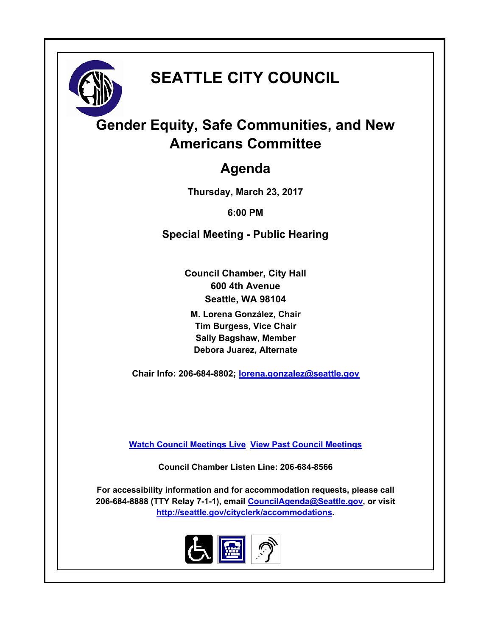

# **SEATTLE CITY COUNCIL**

## **Gender Equity, Safe Communities, and New Americans Committee**

## **Agenda**

**Thursday, March 23, 2017**

**6:00 PM**

**Special Meeting - Public Hearing**

**Council Chamber, City Hall 600 4th Avenue Seattle, WA 98104**

**M. Lorena González, Chair Tim Burgess, Vice Chair Sally Bagshaw, Member Debora Juarez, Alternate**

**Chair Info: 206-684-8802; [lorena.gonzalez@seattle.gov](mailto:lorena.gonzalez@seattle.gov)**

**[Watch Council Meetings Live](http://www.seattle.gov/council/councillive.htm) [View Past Council Meetings](http://www.seattlechannel.org/videos/browseVideos.asp?topic=council)**

**Council Chamber Listen Line: 206-684-8566**

**For accessibility information and for accommodation requests, please call 206-684-8888 (TTY Relay 7-1-1), email [CouncilAgenda@Seattle.gov](mailto:CouncilAgenda@Seattle.gov), or visit <http://seattle.gov/cityclerk/accommodations>.**

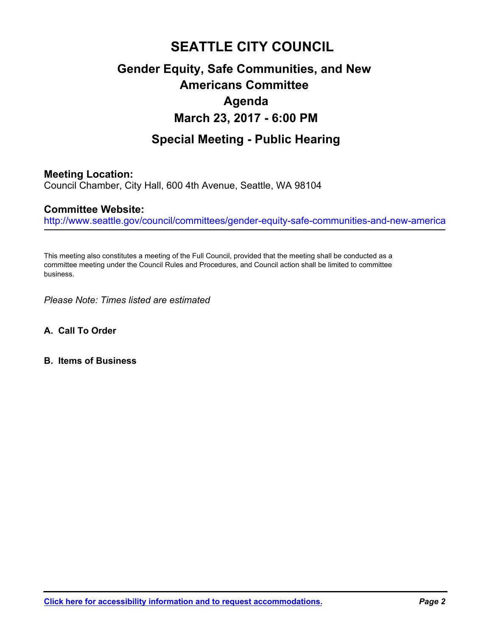## **SEATTLE CITY COUNCIL Gender Equity, Safe Communities, and New Americans Committee Agenda March 23, 2017 - 6:00 PM**

## **Special Meeting - Public Hearing**

### **Meeting Location:**

Council Chamber, City Hall, 600 4th Avenue, Seattle, WA 98104

### **Committee Website:**

http://www.seattle.gov/council/committees/gender-equity-safe-communities-and-new-america

This meeting also constitutes a meeting of the Full Council, provided that the meeting shall be conducted as a committee meeting under the Council Rules and Procedures, and Council action shall be limited to committee business.

*Please Note: Times listed are estimated*

- **A. Call To Order**
- **B. Items of Business**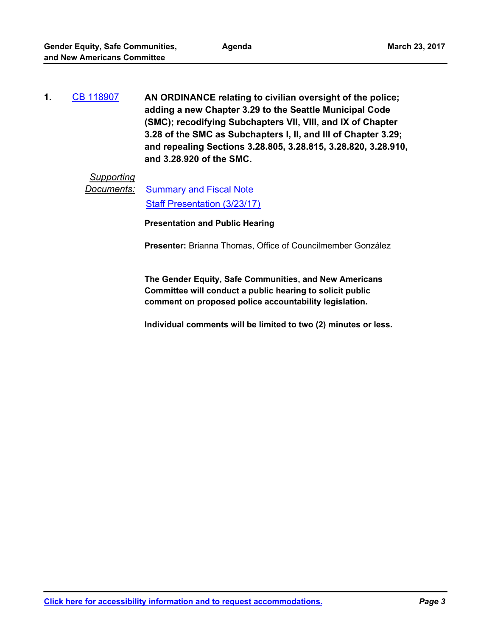**AN ORDINANCE relating to civilian oversight of the police; adding a new Chapter 3.29 to the Seattle Municipal Code (SMC); recodifying Subchapters VII, VIII, and IX of Chapter 3.28 of the SMC as Subchapters I, II, and III of Chapter 3.29; and repealing Sections 3.28.805, 3.28.815, 3.28.820, 3.28.910, and 3.28.920 of the SMC. 1.** [CB 118907](http://seattle.legistar.com/gateway.aspx?m=l&id=/matter.aspx?key=5147)

## *Supporting*

**Documents:** [Summary and Fiscal Note](http://seattle.legistar.com/gateway.aspx?M=F&ID=b6e99c5e-bfbf-4bf3-9e56-4937d9a60ba6.docx) [Staff Presentation \(3/23/17\)](http://seattle.legistar.com/gateway.aspx?M=F&ID=6b8af9f4-d759-48f9-a8a5-07006c5ed18c.pdf)

**Presentation and Public Hearing**

**Presenter:** Brianna Thomas, Office of Councilmember González

**The Gender Equity, Safe Communities, and New Americans Committee will conduct a public hearing to solicit public comment on proposed police accountability legislation.**

**Individual comments will be limited to two (2) minutes or less.**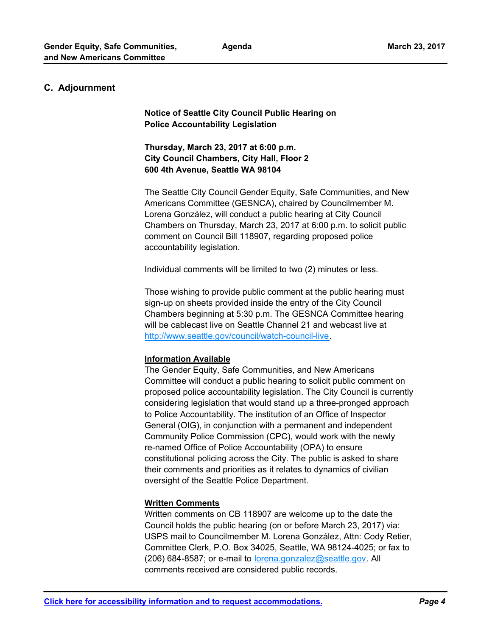#### **C. Adjournment**

**Notice of Seattle City Council Public Hearing on Police Accountability Legislation**

**Thursday, March 23, 2017 at 6:00 p.m. City Council Chambers, City Hall, Floor 2 600 4th Avenue, Seattle WA 98104**

The Seattle City Council Gender Equity, Safe Communities, and New Americans Committee (GESNCA), chaired by Councilmember M. Lorena González, will conduct a public hearing at City Council Chambers on Thursday, March 23, 2017 at 6:00 p.m. to solicit public comment on Council Bill 118907, regarding proposed police accountability legislation.

Individual comments will be limited to two (2) minutes or less.

Those wishing to provide public comment at the public hearing must sign-up on sheets provided inside the entry of the City Council Chambers beginning at 5:30 p.m. The GESNCA Committee hearing will be cablecast live on Seattle Channel 21 and webcast live at http://www.seattle.gov/council/watch-council-live.

#### **Information Available**

The Gender Equity, Safe Communities, and New Americans Committee will conduct a public hearing to solicit public comment on proposed police accountability legislation. The City Council is currently considering legislation that would stand up a three-pronged approach to Police Accountability. The institution of an Office of Inspector General (OIG), in conjunction with a permanent and independent Community Police Commission (CPC), would work with the newly re-named Office of Police Accountability (OPA) to ensure constitutional policing across the City. The public is asked to share their comments and priorities as it relates to dynamics of civilian oversight of the Seattle Police Department.

### **Written Comments**

Written comments on CB 118907 are welcome up to the date the Council holds the public hearing (on or before March 23, 2017) via: USPS mail to Councilmember M. Lorena González, Attn: Cody Retier, Committee Clerk, P.O. Box 34025, Seattle, WA 98124-4025; or fax to (206) 684-8587; or e-mail to lorena.gonzalez@seattle.gov. All comments received are considered public records.